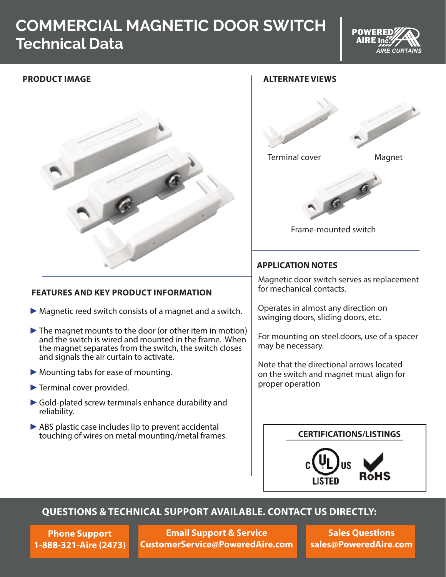# **COMMERCIAL MAGNETIC DOOR SWITCH Technical Data**



# **PRODUCT IMAGE**



### **FEATURES AND KEY PRODUCT INFORMATION**

- $\blacktriangleright$  Magnetic reed switch consists of a magnet and a switch.
- ►The magnet mounts to the door (or other item in motion) and the switch is wired and mounted in the frame. When the magnet separates from the switch, the switch closes and signals the air curtain to activate.
- ▶ Mounting tabs for ease of mounting.
- ►Terminal cover provided.
- ►Gold-plated screw terminals enhance durability and reliability.
- ► ABS plastic case includes lip to prevent accidental touching of wires on metal mounting/metal frames.

# **ALTERNATE VIEWS** Terminal cover Magnet  $a$ Frame-mounted switch **APPLICATION NOTES** Magnetic door switch serves as replacement for mechanical contacts. Operates in almost any direction on swinging doors, sliding doors, etc. For mounting on steel doors, use of a spacer may be necessary. Note that the directional arrows located on the switch and magnet must align for proper operation

#### **CERTIFICATIONS/LISTINGS**



# **QUESTIONS & TECHNICAL SUPPORT AVAILABLE. CONTACT US DIRECTLY:**

**Phone Support 1-888-321-Aire (2473)**

**Email Support & Service CustomerService@PoweredAire.com**

**Sales Questions sales@PoweredAire.com**